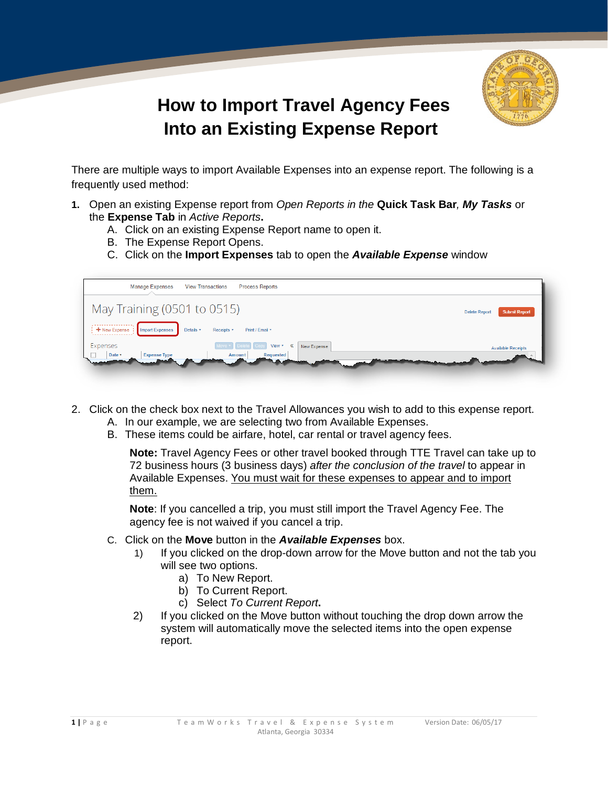

## **How to Import Travel Agency Fees Into an Existing Expense Report!**

There are multiple ways to import Available Expenses into an expense report. The following is a frequently used method:

- **1.** Open an existing Expense report from *Open Reports in the* **Quick Task Bar***, My Tasks* or the **Expense Tab** in *Active Reports***.**
	- A. Click on an existing Expense Report name to open it.
	- B. The Expense Report Opens.
	- C. Click on the **Import Expenses** tab to open the *Available Expense* window

| <b>Process Reports</b><br><b>Manage Expenses</b><br><b>View Transactions</b>                                        |                                              |
|---------------------------------------------------------------------------------------------------------------------|----------------------------------------------|
| May Training (0501 to 0515)                                                                                         | <b>Submit Report</b><br><b>Delete Report</b> |
| <br><b>Import Expenses</b><br>Details <b>v</b><br>Print / Email *<br>+ New Expense :<br>Receipts <b>v</b><br>.      |                                              |
| Expenses<br>View * 《<br>New Expense<br><b>Delete</b><br>Requested<br>Date <b>v</b><br><b>Expense Type</b><br>Amount | <b>Available Receipts</b>                    |

- 2. Click on the check box next to the Travel Allowances you wish to add to this expense report.
	- A. In our example, we are selecting two from Available Expenses.
	- B. These items could be airfare, hotel, car rental or travel agency fees.

**Note:** Travel Agency Fees or other travel booked through TTE Travel can take up to 72 business hours (3 business days) *after the conclusion of the travel* to appear in Available Expenses. You must wait for these expenses to appear and to import them.

**Note**: If you cancelled a trip, you must still import the Travel Agency Fee. The agency fee is not waived if you cancel a trip.

- C. Click on the **Move** button in the *Available Expenses* box.
	- 1) If you clicked on the drop-down arrow for the Move button and not the tab you will see two options.
		- a) To New Report.
		- b) To Current Report.
		- c) Select *To Current Report***.**
	- 2) If you clicked on the Move button without touching the drop down arrow the system will automatically move the selected items into the open expense report.